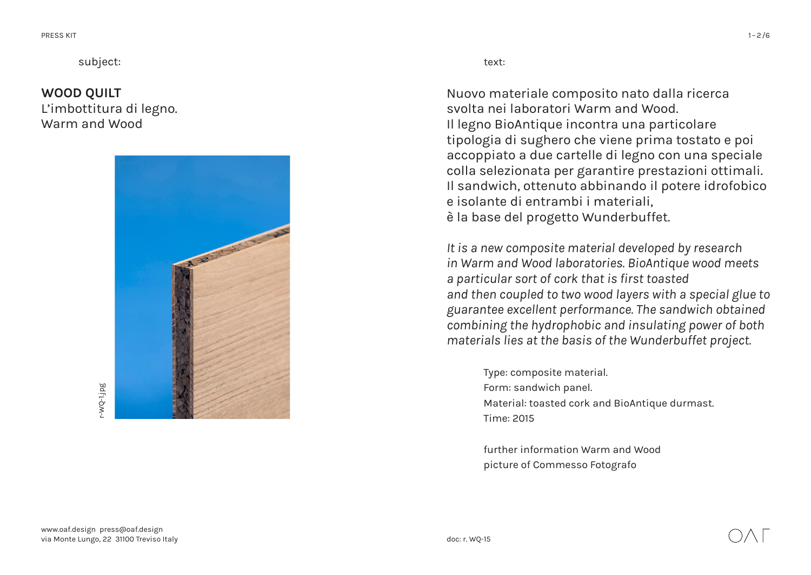subject: text:

## **WOOD QUILT**  L'imbottitura di legno. Warm and Wood



Nuovo materiale composito nato dalla ricerca svolta nei laboratori Warm and Wood. Il legno BioAntique incontra una particolare tipologia di sughero che viene prima tostato e poi accoppiato a due cartelle di legno con una speciale colla selezionata per garantire prestazioni ottimali. Il sandwich, ottenuto abbinando il potere idrofobico e isolante di entrambi i materiali, è la base del progetto Wunderbuffet.

*It is a new composite material developed by research in Warm and Wood laboratories. BioAntique wood meets a particular sort of cork that is first toasted and then coupled to two wood layers with a special glue to guarantee excellent performance. The sandwich obtained combining the hydrophobic and insulating power of both materials lies at the basis of the Wunderbuffet project.*

> Type: composite material. Form: sandwich panel. Material: toasted cork and BioAntique durmast. Time: 2015

further information Warm and Wood picture of Commesso Fotografo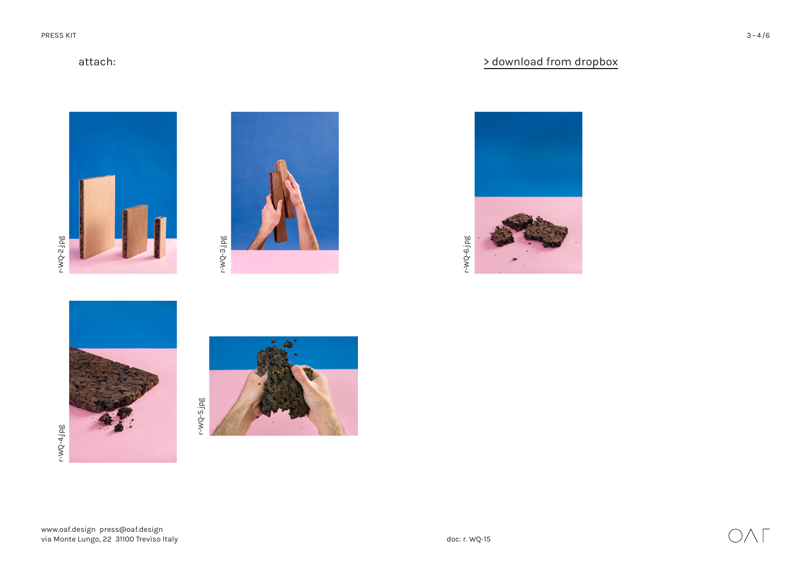## attach:

r-WQ-4.jpg r-WQ-4.jpg

r-WQ-2.jpg

 $r-WQ-2$ .jpg







## [> download from dropbox](https://www.dropbox.com/sh/cora0qc6idrevp3/AABlRYIhc-pE767hTjkI8wTia?dl=0)